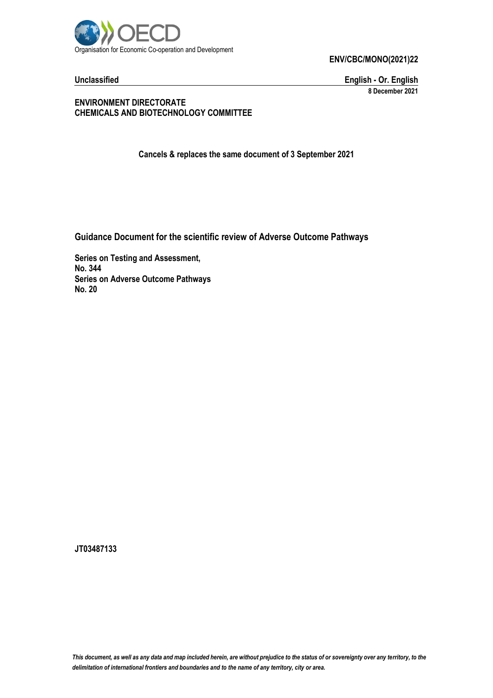

**Unclassified English - Or. English 8 December 2021**

**ENVIRONMENT DIRECTORATE CHEMICALS AND BIOTECHNOLOGY COMMITTEE**

**Cancels & replaces the same document of 3 September 2021**

**Guidance Document for the scientific review of Adverse Outcome Pathways**

**Series on Testing and Assessment, No. 344 Series on Adverse Outcome Pathways No. 20**

**JT03487133**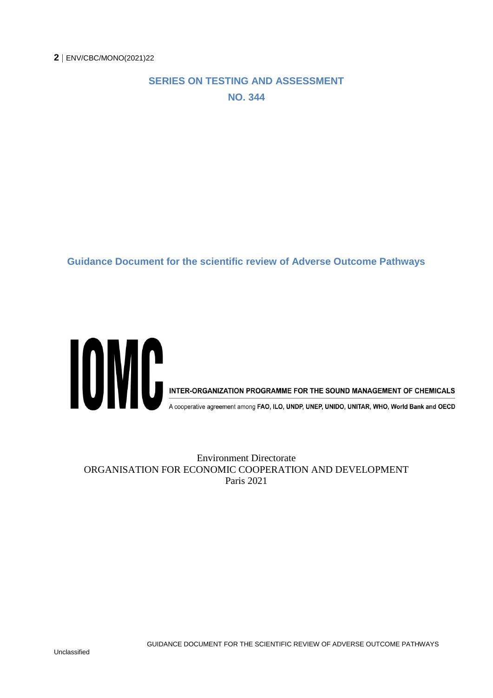#### **SERIES ON TESTING AND ASSESSMENT NO. 344**

**Guidance Document for the scientific review of Adverse Outcome Pathways**



A cooperative agreement among FAO, ILO, UNDP, UNEP, UNIDO, UNITAR, WHO, World Bank and OECD

Environment Directorate ORGANISATION FOR ECONOMIC COOPERATION AND DEVELOPMENT Paris 2021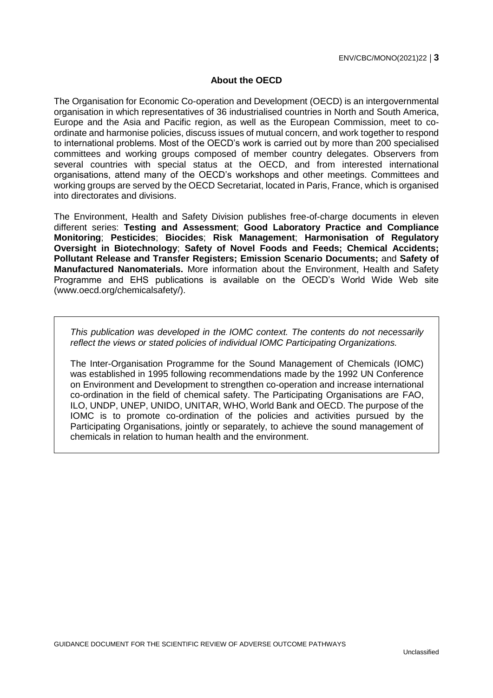#### **About the OECD**

The Organisation for Economic Co-operation and Development (OECD) is an intergovernmental organisation in which representatives of 36 industrialised countries in North and South America, Europe and the Asia and Pacific region, as well as the European Commission, meet to coordinate and harmonise policies, discuss issues of mutual concern, and work together to respond to international problems. Most of the OECD's work is carried out by more than 200 specialised committees and working groups composed of member country delegates. Observers from several countries with special status at the OECD, and from interested international organisations, attend many of the OECD's workshops and other meetings. Committees and working groups are served by the OECD Secretariat, located in Paris, France, which is organised into directorates and divisions.

The Environment, Health and Safety Division publishes free-of-charge documents in eleven different series: **Testing and Assessment**; **Good Laboratory Practice and Compliance Monitoring**; **Pesticides**; **Biocides**; **Risk Management**; **Harmonisation of Regulatory Oversight in Biotechnology**; **Safety of Novel Foods and Feeds; Chemical Accidents; Pollutant Release and Transfer Registers; Emission Scenario Documents;** and **Safety of Manufactured Nanomaterials.** More information about the Environment, Health and Safety Programme and EHS publications is available on the OECD's World Wide Web site (www.oecd.org/chemicalsafety/).

*This publication was developed in the IOMC context. The contents do not necessarily reflect the views or stated policies of individual IOMC Participating Organizations.*

The Inter-Organisation Programme for the Sound Management of Chemicals (IOMC) was established in 1995 following recommendations made by the 1992 UN Conference on Environment and Development to strengthen co-operation and increase international co-ordination in the field of chemical safety. The Participating Organisations are FAO, ILO, UNDP, UNEP, UNIDO, UNITAR, WHO, World Bank and OECD. The purpose of the IOMC is to promote co-ordination of the policies and activities pursued by the Participating Organisations, jointly or separately, to achieve the sound management of chemicals in relation to human health and the environment.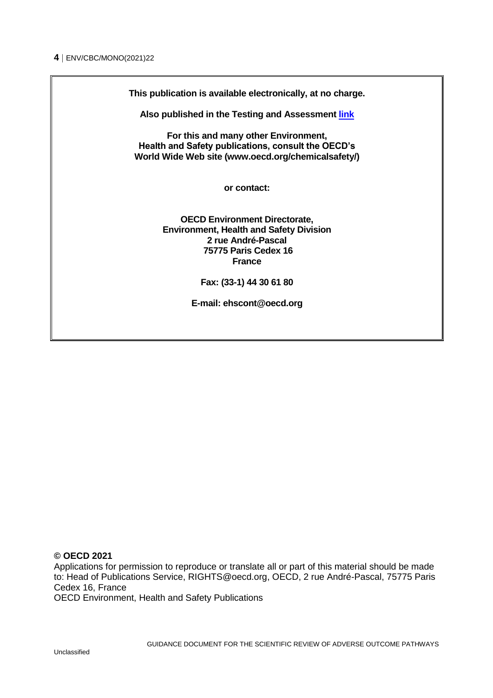**This publication is available electronically, at no charge.**

**Also published in the Testing and Assessment [link](http://www.oecd.org/chemicalsafety/testing/series-testing-assessment-publications-number.htm)**

**For this and many other Environment, Health and Safety publications, consult the OECD's World Wide Web site (www.oecd.org/chemicalsafety/)**

**or contact:**

**OECD Environment Directorate, Environment, Health and Safety Division 2 rue André-Pascal 75775 Paris Cedex 16 France**

**Fax: (33-1) 44 30 61 80**

**E-mail: ehscont@oecd.org** 

#### **© OECD 2021**

Applications for permission to reproduce or translate all or part of this material should be made to: Head of Publications Service, RIGHTS@oecd.org, OECD, 2 rue André-Pascal, 75775 Paris Cedex 16, France

OECD Environment, Health and Safety Publications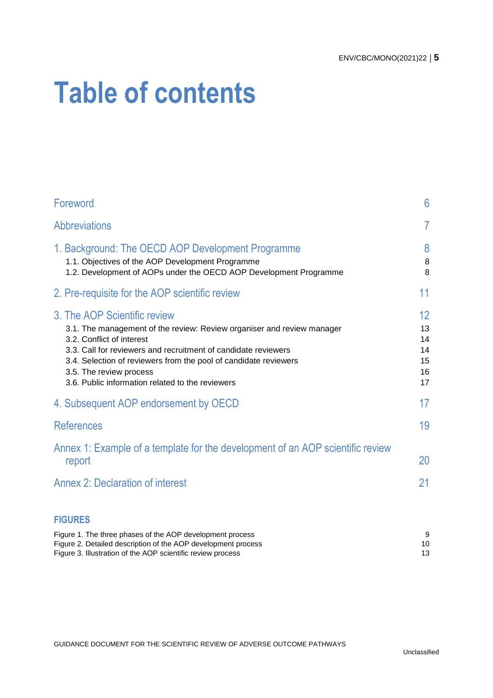# **Table of contents**

| Foreword                                                                                                                                                                                                                                                                                                                                                 | 6                                      |
|----------------------------------------------------------------------------------------------------------------------------------------------------------------------------------------------------------------------------------------------------------------------------------------------------------------------------------------------------------|----------------------------------------|
| <b>Abbreviations</b>                                                                                                                                                                                                                                                                                                                                     | $\overline{7}$                         |
| 1. Background: The OECD AOP Development Programme<br>1.1. Objectives of the AOP Development Programme<br>1.2. Development of AOPs under the OECD AOP Development Programme                                                                                                                                                                               | 8<br>8<br>8                            |
| 2. Pre-requisite for the AOP scientific review                                                                                                                                                                                                                                                                                                           | 11                                     |
| 3. The AOP Scientific review<br>3.1. The management of the review: Review organiser and review manager<br>3.2. Conflict of interest<br>3.3. Call for reviewers and recruitment of candidate reviewers<br>3.4. Selection of reviewers from the pool of candidate reviewers<br>3.5. The review process<br>3.6. Public information related to the reviewers | 12<br>13<br>14<br>14<br>15<br>16<br>17 |
| 4. Subsequent AOP endorsement by OECD                                                                                                                                                                                                                                                                                                                    | 17                                     |
| <b>References</b>                                                                                                                                                                                                                                                                                                                                        | 19                                     |
| Annex 1: Example of a template for the development of an AOP scientific review<br>report                                                                                                                                                                                                                                                                 | 20                                     |
| <b>Annex 2: Declaration of interest</b>                                                                                                                                                                                                                                                                                                                  | 21                                     |
| <b>FIGURES</b>                                                                                                                                                                                                                                                                                                                                           |                                        |
| Figure 1. The three phases of the AOP development process                                                                                                                                                                                                                                                                                                | 9                                      |

| Figure 1. The three phases of the AOF development process     |  |
|---------------------------------------------------------------|--|
| Figure 2. Detailed description of the AOP development process |  |
| Figure 3. Illustration of the AOP scientific review process   |  |

GUIDANCE DOCUMENT FOR THE SCIENTIFIC REVIEW OF ADVERSE OUTCOME PATHWAYS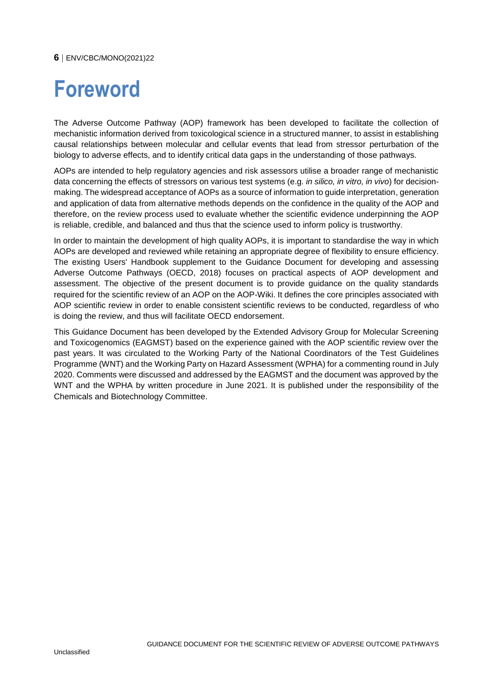# <span id="page-5-0"></span>**Foreword**

The Adverse Outcome Pathway (AOP) framework has been developed to facilitate the collection of mechanistic information derived from toxicological science in a structured manner, to assist in establishing causal relationships between molecular and cellular events that lead from stressor perturbation of the biology to adverse effects, and to identify critical data gaps in the understanding of those pathways.

AOPs are intended to help regulatory agencies and risk assessors utilise a broader range of mechanistic data concerning the effects of stressors on various test systems (e.g. *in silico, in vitro, in vivo*) for decisionmaking. The widespread acceptance of AOPs as a source of information to guide interpretation, generation and application of data from alternative methods depends on the confidence in the quality of the AOP and therefore, on the review process used to evaluate whether the scientific evidence underpinning the AOP is reliable, credible, and balanced and thus that the science used to inform policy is trustworthy.

In order to maintain the development of high quality AOPs, it is important to standardise the way in which AOPs are developed and reviewed while retaining an appropriate degree of flexibility to ensure efficiency. The existing Users' Handbook supplement to the Guidance Document for developing and assessing Adverse Outcome Pathways (OECD, 2018) focuses on practical aspects of AOP development and assessment. The objective of the present document is to provide guidance on the quality standards required for the scientific review of an AOP on the AOP-Wiki. It defines the core principles associated with AOP scientific review in order to enable consistent scientific reviews to be conducted, regardless of who is doing the review, and thus will facilitate OECD endorsement.

This Guidance Document has been developed by the Extended Advisory Group for Molecular Screening and Toxicogenomics (EAGMST) based on the experience gained with the AOP scientific review over the past years. It was circulated to the Working Party of the National Coordinators of the Test Guidelines Programme (WNT) and the Working Party on Hazard Assessment (WPHA) for a commenting round in July 2020. Comments were discussed and addressed by the EAGMST and the document was approved by the WNT and the WPHA by written procedure in June 2021. It is published under the responsibility of the Chemicals and Biotechnology Committee.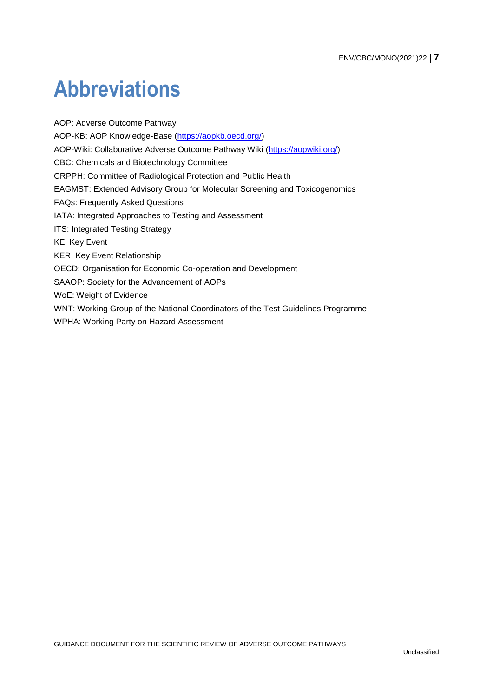# <span id="page-6-0"></span>**Abbreviations**

AOP: Adverse Outcome Pathway AOP-KB: AOP Knowledge-Base [\(https://aopkb.oecd.org/\)](https://aopkb.oecd.org/) AOP-Wiki: Collaborative Adverse Outcome Pathway Wiki [\(https://aopwiki.org/\)](https://aopwiki.org/) CBC: Chemicals and Biotechnology Committee CRPPH: Committee of Radiological Protection and Public Health EAGMST: Extended Advisory Group for Molecular Screening and Toxicogenomics FAQs: Frequently Asked Questions IATA: Integrated Approaches to Testing and Assessment ITS: Integrated Testing Strategy KE: Key Event KER: Key Event Relationship OECD: Organisation for Economic Co-operation and Development SAAOP: Society for the Advancement of AOPs WoE: Weight of Evidence WNT: Working Group of the National Coordinators of the Test Guidelines Programme WPHA: Working Party on Hazard Assessment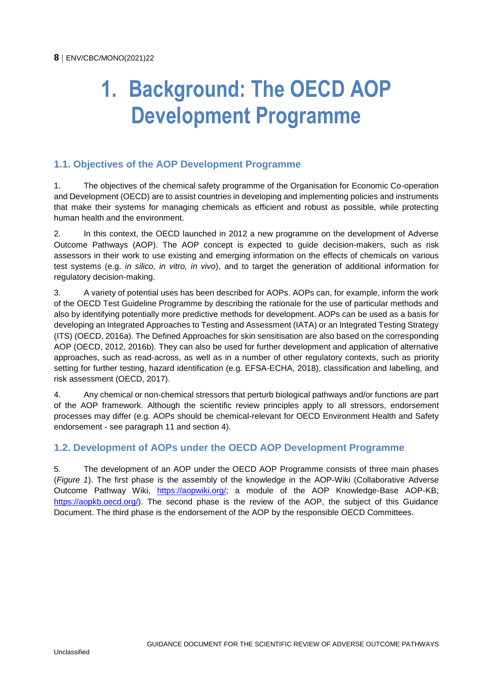# <span id="page-7-0"></span>**1. Background: The OECD AOP Development Programme**

#### <span id="page-7-1"></span>**1.1. Objectives of the AOP Development Programme**

1. The objectives of the chemical safety programme of the Organisation for Economic Co-operation and Development (OECD) are to assist countries in developing and implementing policies and instruments that make their systems for managing chemicals as efficient and robust as possible, while protecting human health and the environment.

2. In this context, the OECD launched in 2012 a new programme on the development of Adverse Outcome Pathways (AOP). The AOP concept is expected to guide decision-makers, such as risk assessors in their work to use existing and emerging information on the effects of chemicals on various test systems (e.g. *in silico, in vitro, in vivo*), and to target the generation of additional information for regulatory decision-making.

3. A variety of potential uses has been described for AOPs. AOPs can, for example, inform the work of the OECD Test Guideline Programme by describing the rationale for the use of particular methods and also by identifying potentially more predictive methods for development. AOPs can be used as a basis for developing an Integrated Approaches to Testing and Assessment (IATA) or an Integrated Testing Strategy (ITS) (OECD, 2016a). The Defined Approaches for skin sensitisation are also based on the corresponding AOP (OECD, 2012, 2016b). They can also be used for further development and application of alternative approaches, such as read-across, as well as in a number of other regulatory contexts, such as priority setting for further testing, hazard identification (e.g. EFSA-ECHA, 2018), classification and labelling, and risk assessment (OECD, 2017).

4. Any chemical or non-chemical stressors that perturb biological pathways and/or functions are part of the AOP framework. Although the scientific review principles apply to all stressors, endorsement processes may differ (e.g. AOPs should be chemical-relevant for OECD Environment Health and Safety endorsement - see paragraph 11 and section 4).

#### <span id="page-7-2"></span>**1.2. Development of AOPs under the OECD AOP Development Programme**

5. The development of an AOP under the OECD AOP Programme consists of three main phases (*Figure 1*). The first phase is the assembly of the knowledge in the AOP-Wiki (Collaborative Adverse Outcome Pathway Wiki, [https://aopwiki.org/;](https://aopwiki.org/) a module of the AOP Knowledge-Base AOP-KB; [https://aopkb.oecd.org/\)](https://aopkb.oecd.org/). The second phase is the review of the AOP, the subject of this Guidance Document. The third phase is the endorsement of the AOP by the responsible OECD Committees.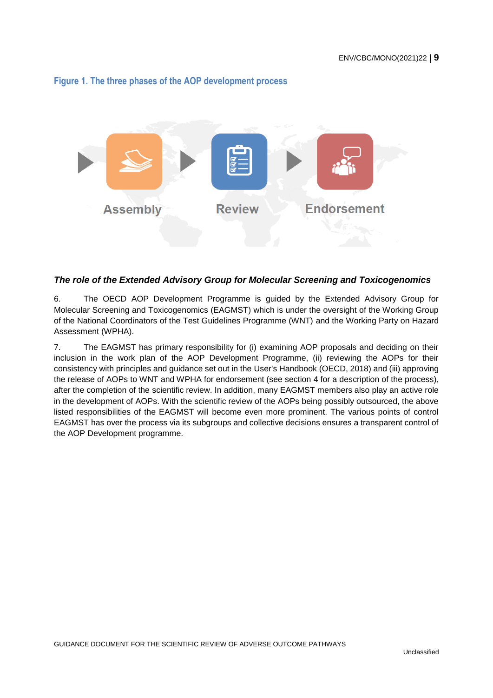#### <span id="page-8-0"></span>**Figure 1. The three phases of the AOP development process**



#### <span id="page-8-1"></span>*The role of the Extended Advisory Group for Molecular Screening and Toxicogenomics*

6. The OECD AOP Development Programme is guided by the Extended Advisory Group for Molecular Screening and Toxicogenomics (EAGMST) which is under the oversight of the Working Group of the National Coordinators of the Test Guidelines Programme (WNT) and the Working Party on Hazard Assessment (WPHA).

7. The EAGMST has primary responsibility for (i) examining AOP proposals and deciding on their inclusion in the work plan of the AOP Development Programme, (ii) reviewing the AOPs for their consistency with principles and guidance set out in the User's Handbook (OECD, 2018) and (iii) approving the release of AOPs to WNT and WPHA for endorsement (see section 4 for a description of the process), after the completion of the scientific review. In addition, many EAGMST members also play an active role in the development of AOPs. With the scientific review of the AOPs being possibly outsourced, the above listed responsibilities of the EAGMST will become even more prominent. The various points of control EAGMST has over the process via its subgroups and collective decisions ensures a transparent control of the AOP Development programme.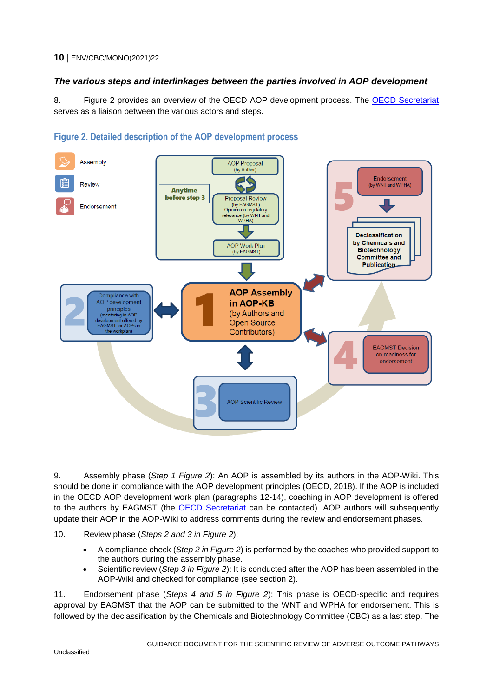#### <span id="page-9-1"></span>*The various steps and interlinkages between the parties involved in AOP development*

8. Figure 2 provides an overview of the OECD AOP development process. The [OECD Secretariat](mailto:ehscont@oecd.org) serves as a liaison between the various actors and steps.



#### <span id="page-9-0"></span>**Figure 2. Detailed description of the AOP development process**

9. Assembly phase (*Step 1 Figure 2*): An AOP is assembled by its authors in the AOP-Wiki. This should be done in compliance with the AOP development principles (OECD, 2018). If the AOP is included in the OECD AOP development work plan (paragraphs 12-14), coaching in AOP development is offered to the authors by EAGMST (the [OECD Secretariat](mailto:ehscont@oecd.org) can be contacted). AOP authors will subsequently update their AOP in the AOP-Wiki to address comments during the review and endorsement phases.

10. Review phase (*Steps 2 and 3 in Figure 2*):

- A compliance check (*Step 2 in Figure 2*) is performed by the coaches who provided support to the authors during the assembly phase.
- Scientific review (*Step 3 in Figure 2*): It is conducted after the AOP has been assembled in the AOP-Wiki and checked for compliance (see section 2).

11. Endorsement phase (*Steps 4 and 5 in Figure 2*): This phase is OECD-specific and requires approval by EAGMST that the AOP can be submitted to the WNT and WPHA for endorsement. This is followed by the declassification by the Chemicals and Biotechnology Committee (CBC) as a last step. The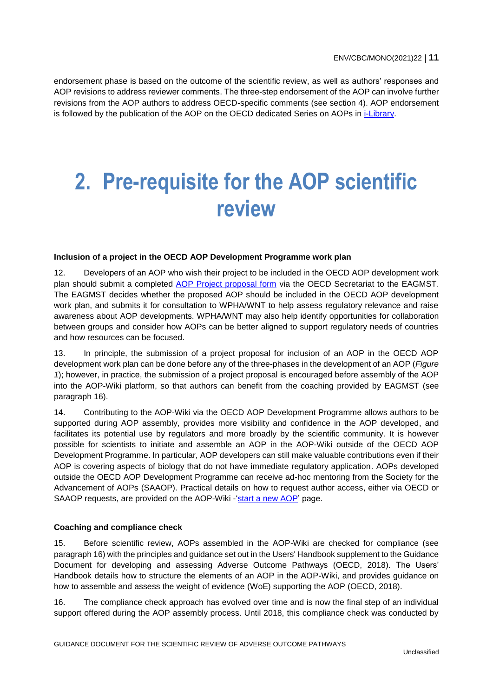<span id="page-10-0"></span>endorsement phase is based on the outcome of the scientific review, as well as authors' responses and AOP revisions to address reviewer comments. The three-step endorsement of the AOP can involve further revisions from the AOP authors to address OECD-specific comments (see section 4). AOP endorsement is followed by the publication of the AOP on the OECD dedicated Series on AOPs in [i-Library.](https://www.oecd-ilibrary.org/environment/oecd-series-on-adverse-outcome-pathways_2415170x)

## **2. Pre-requisite for the AOP scientific review**

#### **Inclusion of a project in the OECD AOP Development Programme work plan**

12. Developers of an AOP who wish their project to be included in the OECD AOP development work plan should submit a completed [AOP Project proposal form](http://www.oecd.org/chemicalsafety/testing/AOP%20submission%20form_Nov2019.docx) via the OECD Secretariat to the EAGMST. The EAGMST decides whether the proposed AOP should be included in the OECD AOP development work plan, and submits it for consultation to WPHA/WNT to help assess regulatory relevance and raise awareness about AOP developments. WPHA/WNT may also help identify opportunities for collaboration between groups and consider how AOPs can be better aligned to support regulatory needs of countries and how resources can be focused.

13. In principle, the submission of a project proposal for inclusion of an AOP in the OECD AOP development work plan can be done before any of the three-phases in the development of an AOP (*Figure 1*); however, in practice, the submission of a project proposal is encouraged before assembly of the AOP into the AOP-Wiki platform, so that authors can benefit from the coaching provided by EAGMST (see paragraph 16).

14. Contributing to the AOP-Wiki via the OECD AOP Development Programme allows authors to be supported during AOP assembly, provides more visibility and confidence in the AOP developed, and facilitates its potential use by regulators and more broadly by the scientific community. It is however possible for scientists to initiate and assemble an AOP in the AOP-Wiki outside of the OECD AOP Development Programme. In particular, AOP developers can still make valuable contributions even if their AOP is covering aspects of biology that do not have immediate regulatory application. AOPs developed outside the OECD AOP Development Programme can receive ad-hoc mentoring from the Society for the Advancement of AOPs (SAAOP). Practical details on how to request author access, either via OECD or SAAOP requests, are provided on the AOP-Wiki -['start a new AOP'](https://aopwiki.org/info_pages/2#Contributing to the AOP Wiki) page.

#### **Coaching and compliance check**

15. Before scientific review, AOPs assembled in the AOP-Wiki are checked for compliance (see paragraph 16) with the principles and guidance set out in the Users' Handbook supplement to the Guidance Document for developing and assessing Adverse Outcome Pathways (OECD, 2018). The Users' Handbook details how to structure the elements of an AOP in the AOP-Wiki, and provides guidance on how to assemble and assess the weight of evidence (WoE) supporting the AOP (OECD, 2018).

16. The compliance check approach has evolved over time and is now the final step of an individual support offered during the AOP assembly process. Until 2018, this compliance check was conducted by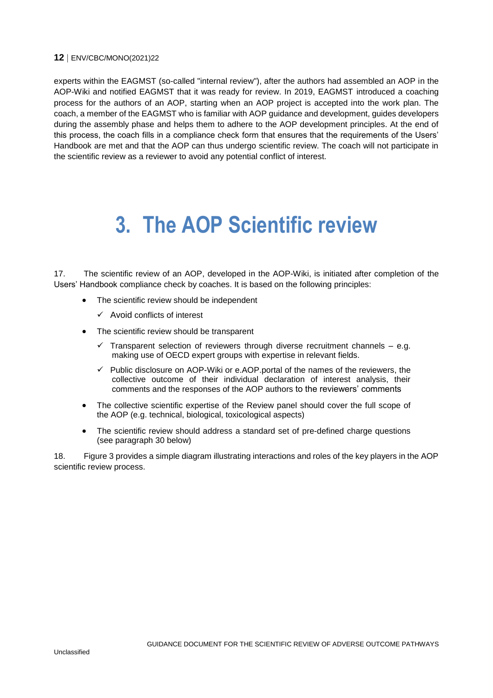experts within the EAGMST (so-called "internal review"), after the authors had assembled an AOP in the AOP-Wiki and notified EAGMST that it was ready for review. In 2019, EAGMST introduced a coaching process for the authors of an AOP, starting when an AOP project is accepted into the work plan. The coach, a member of the EAGMST who is familiar with AOP guidance and development, guides developers during the assembly phase and helps them to adhere to the AOP development principles. At the end of this process, the coach fills in a compliance check form that ensures that the requirements of the Users' Handbook are met and that the AOP can thus undergo scientific review. The coach will not participate in the scientific review as a reviewer to avoid any potential conflict of interest.

### <span id="page-11-0"></span>**3. The AOP Scientific review**

17. The scientific review of an AOP, developed in the AOP-Wiki, is initiated after completion of the Users' Handbook compliance check by coaches. It is based on the following principles:

- The scientific review should be independent
	- $\checkmark$  Avoid conflicts of interest
- The scientific review should be transparent
	- $\checkmark$  Transparent selection of reviewers through diverse recruitment channels e.g. making use of OECD expert groups with expertise in relevant fields.
	- Public disclosure on AOP-Wiki or e.AOP.portal of the names of the reviewers, the collective outcome of their individual declaration of interest analysis, their comments and the responses of the AOP authors to the reviewers' comments
- The collective scientific expertise of the Review panel should cover the full scope of the AOP (e.g. technical, biological, toxicological aspects)
- The scientific review should address a standard set of pre-defined charge questions (see paragraph 30 below)

18. Figure 3 provides a simple diagram illustrating interactions and roles of the key players in the AOP scientific review process.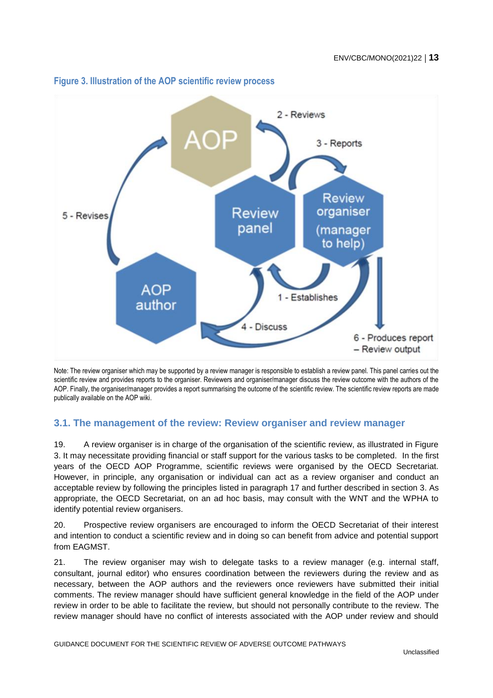

#### <span id="page-12-1"></span>**Figure 3. Illustration of the AOP scientific review process**

Note: The review organiser which may be supported by a review manager is responsible to establish a review panel. This panel carries out the scientific review and provides reports to the organiser. Reviewers and organiser/manager discuss the review outcome with the authors of the AOP. Finally, the organiser/manager provides a report summarising the outcome of the scientific review. The scientific review reports are made publically available on the AOP wiki.

#### <span id="page-12-0"></span>**3.1. The management of the review: Review organiser and review manager**

19. A review organiser is in charge of the organisation of the scientific review, as illustrated in Figure 3. It may necessitate providing financial or staff support for the various tasks to be completed. In the first years of the OECD AOP Programme, scientific reviews were organised by the OECD Secretariat. However, in principle, any organisation or individual can act as a review organiser and conduct an acceptable review by following the principles listed in paragraph 17 and further described in section 3. As appropriate, the OECD Secretariat, on an ad hoc basis, may consult with the WNT and the WPHA to identify potential review organisers.

20. Prospective review organisers are encouraged to inform the OECD Secretariat of their interest and intention to conduct a scientific review and in doing so can benefit from advice and potential support from EAGMST.

21. The review organiser may wish to delegate tasks to a review manager (e.g. internal staff, consultant, journal editor) who ensures coordination between the reviewers during the review and as necessary, between the AOP authors and the reviewers once reviewers have submitted their initial comments. The review manager should have sufficient general knowledge in the field of the AOP under review in order to be able to facilitate the review, but should not personally contribute to the review. The review manager should have no conflict of interests associated with the AOP under review and should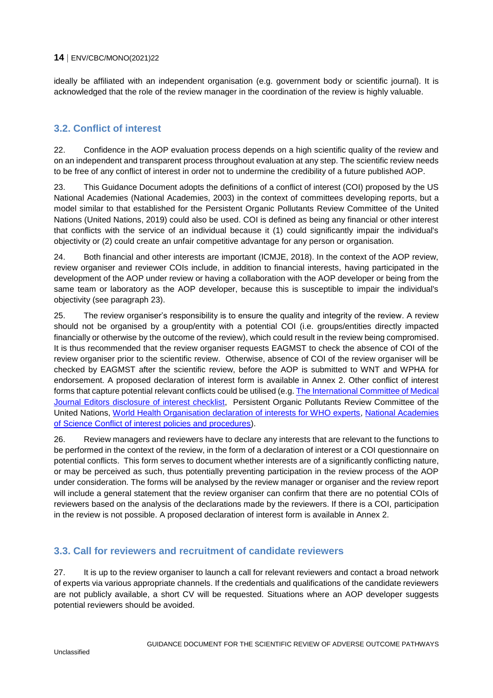ideally be affiliated with an independent organisation (e.g. government body or scientific journal). It is acknowledged that the role of the review manager in the coordination of the review is highly valuable.

#### <span id="page-13-0"></span>**3.2. Conflict of interest**

22. Confidence in the AOP evaluation process depends on a high scientific quality of the review and on an independent and transparent process throughout evaluation at any step. The scientific review needs to be free of any conflict of interest in order not to undermine the credibility of a future published AOP.

23. This Guidance Document adopts the definitions of a conflict of interest (COI) proposed by the US National Academies (National Academies, 2003) in the context of committees developing reports, but a model similar to that established for the Persistent Organic Pollutants Review Committee of the United Nations (United Nations, 2019) could also be used. COI is defined as being any financial or other interest that conflicts with the service of an individual because it (1) could significantly impair the individual's objectivity or (2) could create an unfair competitive advantage for any person or organisation.

24. Both financial and other interests are important (ICMJE, 2018). In the context of the AOP review, review organiser and reviewer COIs include, in addition to financial interests, having participated in the development of the AOP under review or having a collaboration with the AOP developer or being from the same team or laboratory as the AOP developer, because this is susceptible to impair the individual's objectivity (see paragraph 23).

25. The review organiser's responsibility is to ensure the quality and integrity of the review. A review should not be organised by a group/entity with a potential COI (i.e. groups/entities directly impacted financially or otherwise by the outcome of the review), which could result in the review being compromised. It is thus recommended that the review organiser requests EAGMST to check the absence of COI of the review organiser prior to the scientific review. Otherwise, absence of COI of the review organiser will be checked by EAGMST after the scientific review, before the AOP is submitted to WNT and WPHA for endorsement. A proposed declaration of interest form is available in Annex 2. Other conflict of interest forms that capture potential relevant conflicts could be utilised (e.g. The International [Committee of Medical](http://www.icmje.org/downloads/coi_disclosure.docx)  [Journal Editors disclosure of interest checklist,](http://www.icmje.org/downloads/coi_disclosure.docx) Persistent Organic Pollutants Review Committee of the United Nations, [World Health Organisation declaration of interests for WHO experts,](https://www.who.int/about/doi-form-blank-en.doc?ua=1) [National Academies](https://www.nationalacademies.org/docs/DA46283E466A59554DFCB7B5701AD6F91EA29468D89C)  [of Science Conflict of interest policies and procedures\)](https://www.nationalacademies.org/docs/DA46283E466A59554DFCB7B5701AD6F91EA29468D89C).

26. Review managers and reviewers have to declare any interests that are relevant to the functions to be performed in the context of the review, in the form of a declaration of interest or a COI questionnaire on potential conflicts. This form serves to document whether interests are of a significantly conflicting nature, or may be perceived as such, thus potentially preventing participation in the review process of the AOP under consideration. The forms will be analysed by the review manager or organiser and the review report will include a general statement that the review organiser can confirm that there are no potential COIs of reviewers based on the analysis of the declarations made by the reviewers. If there is a COI, participation in the review is not possible. A proposed declaration of interest form is available in Annex 2.

#### <span id="page-13-1"></span>**3.3. Call for reviewers and recruitment of candidate reviewers**

27. It is up to the review organiser to launch a call for relevant reviewers and contact a broad network of experts via various appropriate channels. If the credentials and qualifications of the candidate reviewers are not publicly available, a short CV will be requested. Situations where an AOP developer suggests potential reviewers should be avoided.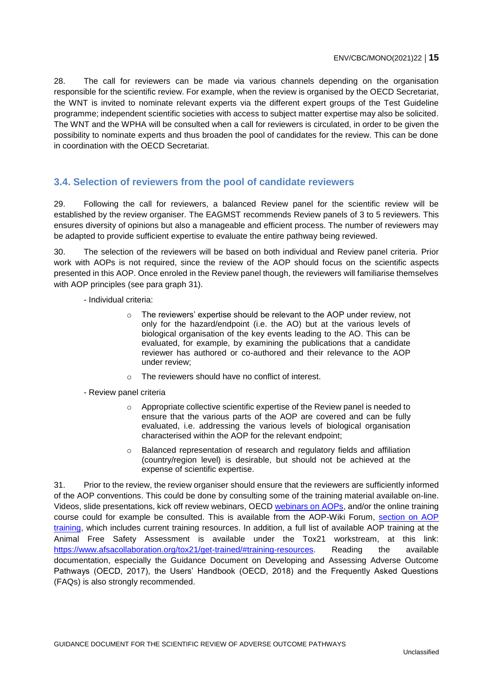28. The call for reviewers can be made via various channels depending on the organisation responsible for the scientific review. For example, when the review is organised by the OECD Secretariat, the WNT is invited to nominate relevant experts via the different expert groups of the Test Guideline programme; independent scientific societies with access to subject matter expertise may also be solicited. The WNT and the WPHA will be consulted when a call for reviewers is circulated, in order to be given the possibility to nominate experts and thus broaden the pool of candidates for the review. This can be done in coordination with the OECD Secretariat.

#### <span id="page-14-0"></span>**3.4. Selection of reviewers from the pool of candidate reviewers**

29. Following the call for reviewers, a balanced Review panel for the scientific review will be established by the review organiser. The EAGMST recommends Review panels of 3 to 5 reviewers. This ensures diversity of opinions but also a manageable and efficient process. The number of reviewers may be adapted to provide sufficient expertise to evaluate the entire pathway being reviewed.

30. The selection of the reviewers will be based on both individual and Review panel criteria. Prior work with AOPs is not required, since the review of the AOP should focus on the scientific aspects presented in this AOP. Once enroled in the Review panel though, the reviewers will familiarise themselves with AOP principles (see para graph 31).

- Individual criteria:

- o The reviewers' expertise should be relevant to the AOP under review, not only for the hazard/endpoint (i.e. the AO) but at the various levels of biological organisation of the key events leading to the AO. This can be evaluated, for example, by examining the publications that a candidate reviewer has authored or co-authored and their relevance to the AOP under review;
- o The reviewers should have no conflict of interest.
- Review panel criteria
	- $\circ$  Appropriate collective scientific expertise of the Review panel is needed to ensure that the various parts of the AOP are covered and can be fully evaluated, i.e. addressing the various levels of biological organisation characterised within the AOP for the relevant endpoint;
	- o Balanced representation of research and regulatory fields and affiliation (country/region level) is desirable, but should not be achieved at the expense of scientific expertise.

31. Prior to the review, the review organiser should ensure that the reviewers are sufficiently informed of the AOP conventions. This could be done by consulting some of the training material available on-line. Videos, slide presentations, kick off review webinars, OECD [webinars on AOPs,](http://www.oecd.org/chemicalsafety/testing/adverse-outcome-pathways-molecular-screening-and-toxicogenomics.htm) and/or the online training course could for example be consulted. This is available from the AOP-Wiki Forum, section on AOP [training,](https://aopwiki.org/forums/forumdisplay.php?fid=12) which includes current training resources. In addition, a full list of available AOP training at the Animal Free Safety Assessment is available under the Tox21 workstream, at this link: [https://www.afsacollaboration.org/tox21/get-trained/#training-resources.](https://www.afsacollaboration.org/tox21/get-trained/#training-resources) Reading the available documentation, especially the Guidance Document on Developing and Assessing Adverse Outcome Pathways (OECD, 2017), the Users' Handbook (OECD, 2018) and the Frequently Asked Questions (FAQs) is also strongly recommended.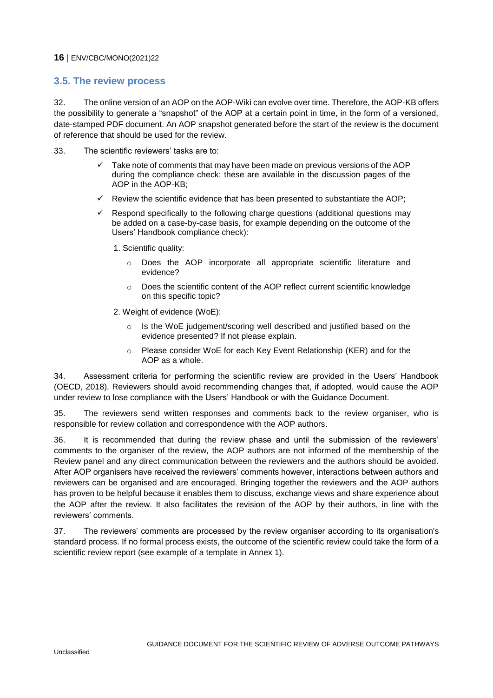#### <span id="page-15-0"></span>**3.5. The review process**

32. The online version of an AOP on the AOP-Wiki can evolve over time. Therefore, the AOP-KB offers the possibility to generate a "snapshot" of the AOP at a certain point in time, in the form of a versioned, date-stamped PDF document. An AOP snapshot generated before the start of the review is the document of reference that should be used for the review.

- 33. The scientific reviewers' tasks are to:
	- Take note of comments that may have been made on previous versions of the AOP during the compliance check; these are available in the discussion pages of the AOP in the AOP-KB;
	- $\checkmark$  Review the scientific evidence that has been presented to substantiate the AOP;
	- $\checkmark$  Respond specifically to the following charge questions (additional questions may be added on a case-by-case basis, for example depending on the outcome of the Users' Handbook compliance check):
		- 1. Scientific quality:
			- o Does the AOP incorporate all appropriate scientific literature and evidence?
			- o Does the scientific content of the AOP reflect current scientific knowledge on this specific topic?
		- 2. Weight of evidence (WoE):
			- $\circ$  Is the WoE judgement/scoring well described and justified based on the evidence presented? If not please explain.
			- o Please consider WoE for each Key Event Relationship (KER) and for the AOP as a whole.

34. Assessment criteria for performing the scientific review are provided in the Users' Handbook (OECD, 2018). Reviewers should avoid recommending changes that, if adopted, would cause the AOP under review to lose compliance with the Users' Handbook or with the Guidance Document.

35. The reviewers send written responses and comments back to the review organiser, who is responsible for review collation and correspondence with the AOP authors.

36. It is recommended that during the review phase and until the submission of the reviewers' comments to the organiser of the review, the AOP authors are not informed of the membership of the Review panel and any direct communication between the reviewers and the authors should be avoided. After AOP organisers have received the reviewers' comments however, interactions between authors and reviewers can be organised and are encouraged. Bringing together the reviewers and the AOP authors has proven to be helpful because it enables them to discuss, exchange views and share experience about the AOP after the review. It also facilitates the revision of the AOP by their authors, in line with the reviewers' comments.

37. The reviewers' comments are processed by the review organiser according to its organisation's standard process. If no formal process exists, the outcome of the scientific review could take the form of a scientific review report (see example of a template in Annex 1).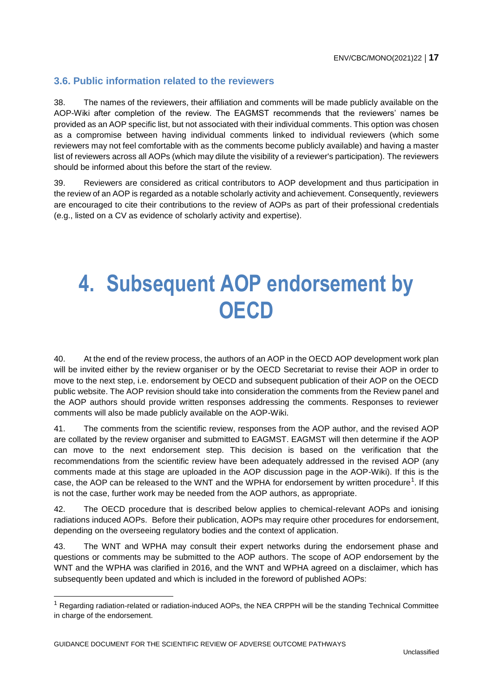#### <span id="page-16-0"></span>**3.6. Public information related to the reviewers**

38. The names of the reviewers, their affiliation and comments will be made publicly available on the AOP-Wiki after completion of the review. The EAGMST recommends that the reviewers' names be provided as an AOP specific list, but not associated with their individual comments. This option was chosen as a compromise between having individual comments linked to individual reviewers (which some reviewers may not feel comfortable with as the comments become publicly available) and having a master list of reviewers across all AOPs (which may dilute the visibility of a reviewer's participation). The reviewers should be informed about this before the start of the review.

<span id="page-16-1"></span>39. Reviewers are considered as critical contributors to AOP development and thus participation in the review of an AOP is regarded as a notable scholarly activity and achievement. Consequently, reviewers are encouraged to cite their contributions to the review of AOPs as part of their professional credentials (e.g., listed on a CV as evidence of scholarly activity and expertise).

# **4. Subsequent AOP endorsement by OECD**

40. At the end of the review process, the authors of an AOP in the OECD AOP development work plan will be invited either by the review organiser or by the OECD Secretariat to revise their AOP in order to move to the next step, i.e. endorsement by OECD and subsequent publication of their AOP on the OECD public website. The AOP revision should take into consideration the comments from the Review panel and the AOP authors should provide written responses addressing the comments. Responses to reviewer comments will also be made publicly available on the AOP-Wiki.

41. The comments from the scientific review, responses from the AOP author, and the revised AOP are collated by the review organiser and submitted to EAGMST. EAGMST will then determine if the AOP can move to the next endorsement step. This decision is based on the verification that the recommendations from the scientific review have been adequately addressed in the revised AOP (any comments made at this stage are uploaded in the AOP discussion page in the AOP-Wiki). If this is the case, the AOP can be released to the WNT and the WPHA for endorsement by written procedure<sup>1</sup>. If this is not the case, further work may be needed from the AOP authors, as appropriate.

42. The OECD procedure that is described below applies to chemical-relevant AOPs and ionising radiations induced AOPs. Before their publication, AOPs may require other procedures for endorsement, depending on the overseeing regulatory bodies and the context of application.

43. The WNT and WPHA may consult their expert networks during the endorsement phase and questions or comments may be submitted to the AOP authors. The scope of AOP endorsement by the WNT and the WPHA was clarified in 2016, and the WNT and WPHA agreed on a disclaimer, which has subsequently been updated and which is included in the foreword of published AOPs:

<sup>1</sup> Regarding radiation-related or radiation-induced AOPs, the NEA CRPPH will be the standing Technical Committee in charge of the endorsement.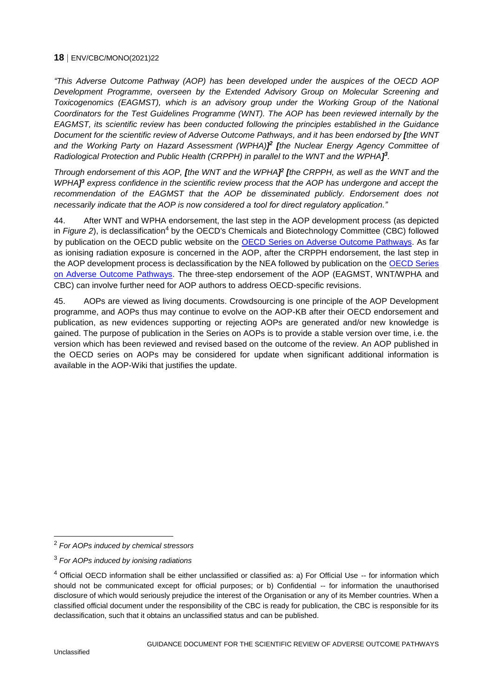*"This Adverse Outcome Pathway (AOP) has been developed under the auspices of the OECD AOP Development Programme, overseen by the Extended Advisory Group on Molecular Screening and Toxicogenomics (EAGMST), which is an advisory group under the Working Group of the National Coordinators for the Test Guidelines Programme (WNT). The AOP has been reviewed internally by the EAGMST, its scientific review has been conducted following the principles established in the Guidance Document for the scientific review of Adverse Outcome Pathways, and it has been endorsed by [the WNT*  and the Working Party on Hazard Assessment (WPHA)<sup> $2$ </sup> [the Nuclear Energy Agency Committee of *Radiological Protection and Public Health (CRPPH) in parallel to the WNT and the WPHA] 3 .*

*Through endorsement of this AOP, [the WNT and the WPHA] 2 [the CRPPH, as well as the WNT and the WPHA] <sup>3</sup> express confidence in the scientific review process that the AOP has undergone and accept the recommendation of the EAGMST that the AOP be disseminated publicly. Endorsement does not necessarily indicate that the AOP is now considered a tool for direct regulatory application."*

44. After WNT and WPHA endorsement, the last step in the AOP development process (as depicted in *Figure 2*), is declassification<sup>4</sup> by the OECD's Chemicals and Biotechnology Committee (CBC) followed by publication on the OECD public website on the [OECD Series on Adverse Outcome Pathways.](http://www.oecd-ilibrary.org/environment/oecd-series-on-adverse-outcome-pathways_2415170x) As far as ionising radiation exposure is concerned in the AOP, after the CRPPH endorsement, the last step in the AOP development process is declassification by the NEA followed by publication on the OECD Series [on Adverse Outcome Pathways.](http://www.oecd-ilibrary.org/environment/oecd-series-on-adverse-outcome-pathways_2415170x) The three-step endorsement of the AOP (EAGMST, WNT/WPHA and CBC) can involve further need for AOP authors to address OECD-specific revisions.

45. AOPs are viewed as living documents. Crowdsourcing is one principle of the AOP Development programme, and AOPs thus may continue to evolve on the AOP-KB after their OECD endorsement and publication, as new evidences supporting or rejecting AOPs are generated and/or new knowledge is gained. The purpose of publication in the Series on AOPs is to provide a stable version over time, i.e. the version which has been reviewed and revised based on the outcome of the review. An AOP published in the OECD series on AOPs may be considered for update when significant additional information is available in the AOP-Wiki that justifies the update.

<sup>2</sup> *For AOPs induced by chemical stressors*

<sup>3</sup> *For AOPs induced by ionising radiations*

<sup>&</sup>lt;sup>4</sup> Official OECD information shall be either unclassified or classified as: a) For Official Use -- for information which should not be communicated except for official purposes; or b) Confidential -- for information the unauthorised disclosure of which would seriously prejudice the interest of the Organisation or any of its Member countries. When a classified official document under the responsibility of the CBC is ready for publication, the CBC is responsible for its declassification, such that it obtains an unclassified status and can be published.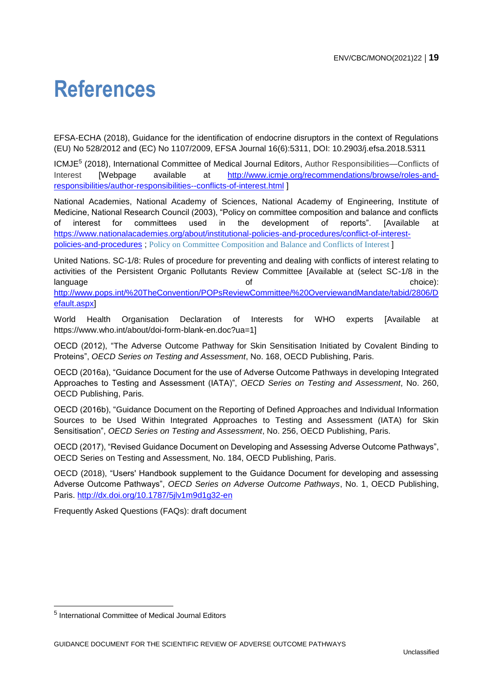## <span id="page-18-0"></span>**References**

EFSA-ECHA (2018), Guidance for the identification of endocrine disruptors in the context of Regulations (EU) No 528/2012 and (EC) No 1107/2009, EFSA Journal 16(6):5311, DOI: 10.2903/j.efsa.2018.5311

ICMJE<sup>5</sup> (2018), International Committee of Medical Journal Editors, Author Responsibilities—Conflicts of Interest [Webpage available at [http://www.icmje.org/recommendations/browse/roles-and](http://www.icmje.org/recommendations/browse/roles-and-responsibilities/author-responsibilities--conflicts-of-interest.html)[responsibilities/author-responsibilities--conflicts-of-interest.html](http://www.icmje.org/recommendations/browse/roles-and-responsibilities/author-responsibilities--conflicts-of-interest.html) ]

National Academies, National Academy of Sciences, National Academy of Engineering, Institute of Medicine, National Research Council (2003), "Policy on committee composition and balance and conflicts of interest for committees used in the development of reports". [Available at [https://www.nationalacademies.org/about/institutional-policies-and-procedures/conflict-of-interest](https://www.nationalacademies.org/about/institutional-policies-and-procedures/conflict-of-interest-policies-and-procedures)[policies-and-procedures](https://www.nationalacademies.org/about/institutional-policies-and-procedures/conflict-of-interest-policies-and-procedures) ; [Policy on Committee Composition and Balance and Conflicts of Interest](https://www.nationalacademies.org/_cache_2e94/content/bi-coi_form-0-4885770000079783.pdf) ]

United Nations. SC-1/8: Rules of procedure for preventing and dealing with conflicts of interest relating to activities of the Persistent Organic Pollutants Review Committee [Available at (select SC-1/8 in the language choice): and choice): the choice of choice choice choice): the choice of choice choice choice is choice [http://www.pops.int/%20TheConvention/POPsReviewCommittee/%20OverviewandMandate/tabid/2806/D](http://www.pops.int/%20TheConvention/POPsReviewCommittee/%20OverviewandMandate/tabid/2806/Default.aspx) [efault.aspx\]](http://www.pops.int/%20TheConvention/POPsReviewCommittee/%20OverviewandMandate/tabid/2806/Default.aspx)

World Health Organisation Declaration of Interests for WHO experts [Available at https://www.who.int/about/doi-form-blank-en.doc?ua=1]

OECD (2012), "The Adverse Outcome Pathway for Skin Sensitisation Initiated by Covalent Binding to Proteins", *OECD Series on Testing and Assessment*, No. 168, OECD Publishing, Paris.

OECD (2016a), "Guidance Document for the use of Adverse Outcome Pathways in developing Integrated Approaches to Testing and Assessment (IATA)", *OECD Series on Testing and Assessment*, No. 260, OECD Publishing, Paris.

OECD (2016b), "Guidance Document on the Reporting of Defined Approaches and Individual Information Sources to be Used Within Integrated Approaches to Testing and Assessment (IATA) for Skin Sensitisation", *OECD Series on Testing and Assessment*, No. 256, OECD Publishing, Paris.

OECD (2017), "Revised Guidance Document on Developing and Assessing Adverse Outcome Pathways", OECD Series on Testing and Assessment, No. 184, OECD Publishing, Paris.

OECD (2018), "Users' Handbook supplement to the Guidance Document for developing and assessing Adverse Outcome Pathways", *OECD Series on Adverse Outcome Pathways*, No. 1, OECD Publishing, Paris.<http://dx.doi.org/10.1787/5jlv1m9d1g32-en>

Frequently Asked Questions (FAQs): draft document

<sup>5</sup> International Committee of Medical Journal Editors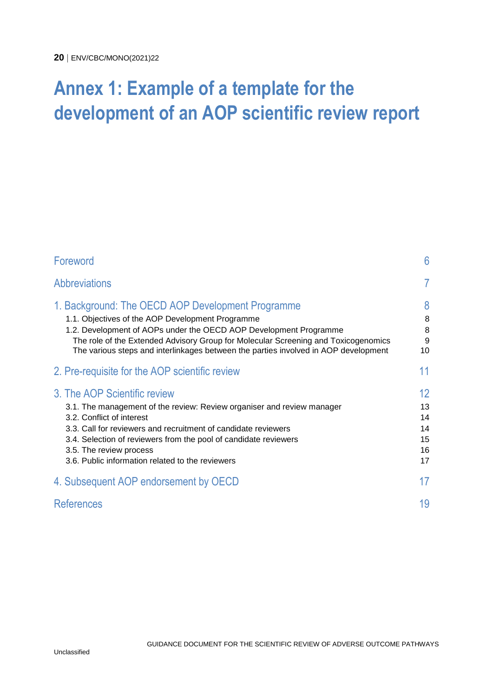### <span id="page-19-0"></span>**Annex 1: Example of a template for the development of an AOP scientific review report**

| Foreword                                                                                                                                                                                                                                                                                                                                                 | 6                                      |
|----------------------------------------------------------------------------------------------------------------------------------------------------------------------------------------------------------------------------------------------------------------------------------------------------------------------------------------------------------|----------------------------------------|
| <b>Abbreviations</b>                                                                                                                                                                                                                                                                                                                                     | 7                                      |
| 1. Background: The OECD AOP Development Programme<br>1.1. Objectives of the AOP Development Programme<br>1.2. Development of AOPs under the OECD AOP Development Programme<br>The role of the Extended Advisory Group for Molecular Screening and Toxicogenomics<br>The various steps and interlinkages between the parties involved in AOP development  | 8<br>8<br>8<br>9<br>10                 |
| 2. Pre-requisite for the AOP scientific review                                                                                                                                                                                                                                                                                                           | 11                                     |
| 3. The AOP Scientific review<br>3.1. The management of the review: Review organiser and review manager<br>3.2. Conflict of interest<br>3.3. Call for reviewers and recruitment of candidate reviewers<br>3.4. Selection of reviewers from the pool of candidate reviewers<br>3.5. The review process<br>3.6. Public information related to the reviewers | 12<br>13<br>14<br>14<br>15<br>16<br>17 |
| 4. Subsequent AOP endorsement by OECD                                                                                                                                                                                                                                                                                                                    | 17                                     |
| <b>References</b>                                                                                                                                                                                                                                                                                                                                        | 19                                     |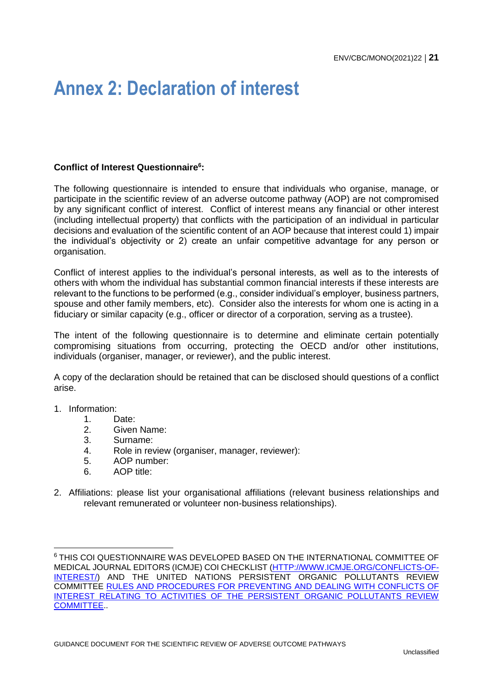### <span id="page-20-0"></span>**Annex 2: Declaration of interest**

#### **Conflict of Interest Questionnaire<sup>6</sup> :**

The following questionnaire is intended to ensure that individuals who organise, manage, or participate in the scientific review of an adverse outcome pathway (AOP) are not compromised by any significant conflict of interest. Conflict of interest means any financial or other interest (including intellectual property) that conflicts with the participation of an individual in particular decisions and evaluation of the scientific content of an AOP because that interest could 1) impair the individual's objectivity or 2) create an unfair competitive advantage for any person or organisation.

Conflict of interest applies to the individual's personal interests, as well as to the interests of others with whom the individual has substantial common financial interests if these interests are relevant to the functions to be performed (e.g., consider individual's employer, business partners, spouse and other family members, etc). Consider also the interests for whom one is acting in a fiduciary or similar capacity (e.g., officer or director of a corporation, serving as a trustee).

The intent of the following questionnaire is to determine and eliminate certain potentially compromising situations from occurring, protecting the OECD and/or other institutions, individuals (organiser, manager, or reviewer), and the public interest.

A copy of the declaration should be retained that can be disclosed should questions of a conflict arise.

1. Information:

- 1. Date:
- 2. Given Name:
- 3. Surname:
- 4. Role in review (organiser, manager, reviewer):
- 5. AOP number:
- 6. AOP title:
- 2. Affiliations: please list your organisational affiliations (relevant business relationships and relevant remunerated or volunteer non-business relationships).

<sup>6</sup> THIS COI QUESTIONNAIRE WAS DEVELOPED BASED ON THE INTERNATIONAL COMMITTEE OF MEDICAL JOURNAL EDITORS (ICMJE) COI CHECKLIST [\(HTTP://WWW.ICMJE.ORG/CONFLICTS-OF-](http://www.icmje.org/conflicts-of-interest/)[INTEREST/\)](http://www.icmje.org/conflicts-of-interest/) AND THE UNITED NATIONS PERSISTENT ORGANIC POLLUTANTS REVIEW COMMITTEE RULES AND PROCEDURES [FOR PREVENTING AND DEALING WITH CONFLICTS OF](http://www.pops.int/%20TheConvention/POPsReviewCommittee/%20OverviewandMandate/tabid/2806/Default.aspx)  INTEREST RELATING TO [ACTIVITIES OF THE PERSISTENT ORGANIC POLLUTANTS REVIEW](http://www.pops.int/%20TheConvention/POPsReviewCommittee/%20OverviewandMandate/tabid/2806/Default.aspx)  [COMMITTEE.](http://www.pops.int/%20TheConvention/POPsReviewCommittee/%20OverviewandMandate/tabid/2806/Default.aspx).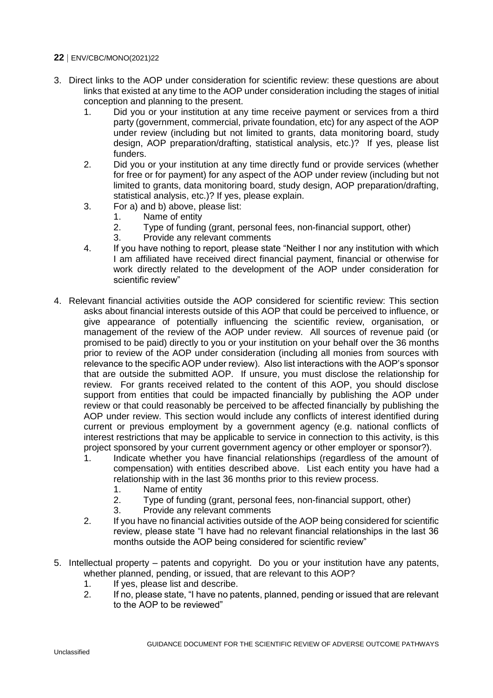- 3. Direct links to the AOP under consideration for scientific review: these questions are about links that existed at any time to the AOP under consideration including the stages of initial conception and planning to the present.
	- 1. Did you or your institution at any time receive payment or services from a third party (government, commercial, private foundation, etc) for any aspect of the AOP under review (including but not limited to grants, data monitoring board, study design, AOP preparation/drafting, statistical analysis, etc.)? If yes, please list funders.
	- 2. Did you or your institution at any time directly fund or provide services (whether for free or for payment) for any aspect of the AOP under review (including but not limited to grants, data monitoring board, study design, AOP preparation/drafting, statistical analysis, etc.)? If yes, please explain.
	- 3. For a) and b) above, please list:
		- 1. Name of entity
		- 2. Type of funding (grant, personal fees, non-financial support, other)
		- 3. Provide any relevant comments
	- 4. If you have nothing to report, please state "Neither I nor any institution with which I am affiliated have received direct financial payment, financial or otherwise for work directly related to the development of the AOP under consideration for scientific review"
- 4. Relevant financial activities outside the AOP considered for scientific review: This section asks about financial interests outside of this AOP that could be perceived to influence, or give appearance of potentially influencing the scientific review, organisation, or management of the review of the AOP under review. All sources of revenue paid (or promised to be paid) directly to you or your institution on your behalf over the 36 months prior to review of the AOP under consideration (including all monies from sources with relevance to the specific AOP under review). Also list interactions with the AOP's sponsor that are outside the submitted AOP. If unsure, you must disclose the relationship for review. For grants received related to the content of this AOP, you should disclose support from entities that could be impacted financially by publishing the AOP under review or that could reasonably be perceived to be affected financially by publishing the AOP under review. This section would include any conflicts of interest identified during current or previous employment by a government agency (e.g. national conflicts of interest restrictions that may be applicable to service in connection to this activity, is this project sponsored by your current government agency or other employer or sponsor?).
	- 1. Indicate whether you have financial relationships (regardless of the amount of compensation) with entities described above. List each entity you have had a relationship with in the last 36 months prior to this review process.
		- 1. Name of entity
		- 2. Type of funding (grant, personal fees, non-financial support, other)
		- 3. Provide any relevant comments
	- 2. If you have no financial activities outside of the AOP being considered for scientific review, please state "I have had no relevant financial relationships in the last 36 months outside the AOP being considered for scientific review"
- 5. Intellectual property patents and copyright. Do you or your institution have any patents, whether planned, pending, or issued, that are relevant to this AOP?
	- 1. If yes, please list and describe.
	- 2. If no, please state, "I have no patents, planned, pending or issued that are relevant to the AOP to be reviewed"